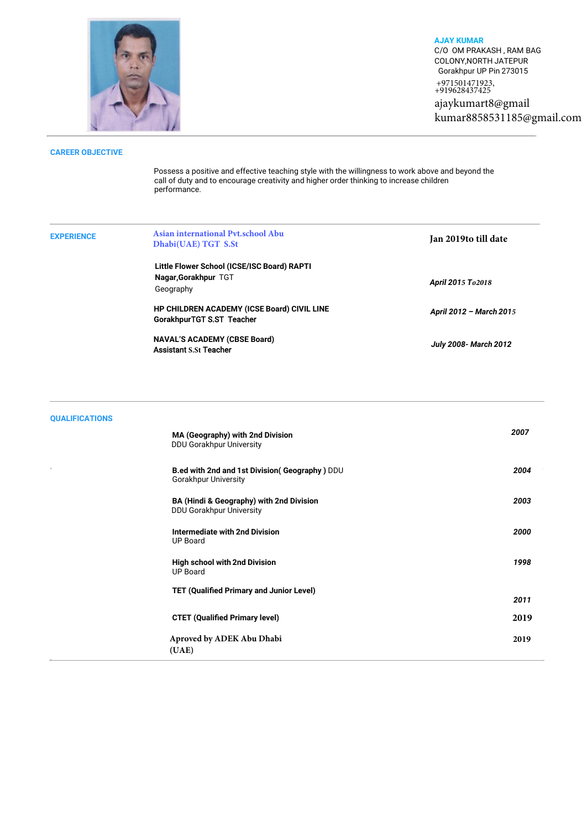

**AJAY KUMAR** C/O OM PRAKASH , RAM BAG COLONY,NORTH JATEPUR Gorakhpur UP Pin 273015 +971501471923, +919628437425

ajaykumart8@gmail kumar8858531185@gmail.com

## **CAREER OBJECTIVE**

Possess a positive and effective teaching style with the willingness to work above and beyond the call of duty and to encourage creativity and higher order thinking to increase children performance.

| <b>EXPERIENCE</b> | Asian international Pvt.school Abu<br>Dhabi(UAE) TGT S.St                        | Jan 2019to till date         |
|-------------------|----------------------------------------------------------------------------------|------------------------------|
|                   | Little Flower School (ICSE/ISC Board) RAPTI<br>Nagar, Gorakhpur TGT<br>Geography | April 2015 To 2018           |
|                   | HP CHILDREN ACADEMY (ICSE Board) CIVIL LINE<br>GorakhpurTGT S.ST Teacher         | April 2012 - March 2015      |
|                   | <b>NAVAL'S ACADEMY (CBSE Board)</b><br><b>Assistant S.St Teacher</b>             | <b>July 2008- March 2012</b> |

| <b>QUALIFICATIONS</b> |                                                                              |      |
|-----------------------|------------------------------------------------------------------------------|------|
|                       | MA (Geography) with 2nd Division<br>DDU Gorakhpur University                 | 2007 |
|                       | B.ed with 2nd and 1st Division(Geography) DDU<br><b>Gorakhpur University</b> | 2004 |
|                       | BA (Hindi & Geography) with 2nd Division<br><b>DDU Gorakhpur University</b>  | 2003 |
|                       | <b>Intermediate with 2nd Division</b><br><b>UP Board</b>                     | 2000 |
|                       | <b>High school with 2nd Division</b><br><b>UP Board</b>                      | 1998 |
|                       | <b>TET (Qualified Primary and Junior Level)</b>                              | 2011 |
|                       | <b>CTET (Qualified Primary level)</b>                                        | 2019 |
|                       | Aproved by ADEK Abu Dhabi<br>(UAE)                                           | 2019 |